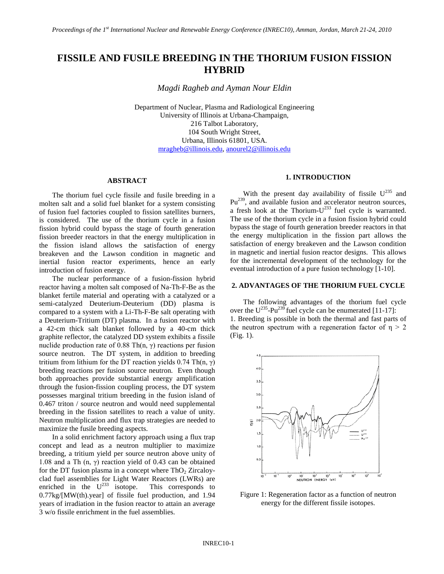# **FISSILE AND FUSILE BREEDING IN THE THORIUM FUSION FISSION HYBRID**

*Magdi Ragheb and Ayman Nour Eldin*

Department of Nuclear, Plasma and Radiological Engineering University of Illinois at Urbana-Champaign, 216 Talbot Laboratory, 104 South Wright Street, Urbana, Illinois 61801, USA. [mragheb@illinois.edu,](mailto:mragheb@illinois.edu) [anourel2@illinois.edu](mailto:anourel2@illinois.edu)

## **ABSTRACT**

The thorium fuel cycle fissile and fusile breeding in a molten salt and a solid fuel blanket for a system consisting of fusion fuel factories coupled to fission satellites burners, is considered. The use of the thorium cycle in a fusion fission hybrid could bypass the stage of fourth generation fission breeder reactors in that the energy multiplication in the fission island allows the satisfaction of energy breakeven and the Lawson condition in magnetic and inertial fusion reactor experiments, hence an early introduction of fusion energy.

The nuclear performance of a fusion-fission hybrid reactor having a molten salt composed of Na-Th-F-Be as the blanket fertile material and operating with a catalyzed or a semi-catalyzed Deuterium-Deuterium (DD) plasma is compared to a system with a Li-Th-F-Be salt operating with a Deuterium-Tritium (DT) plasma. In a fusion reactor with a 42-cm thick salt blanket followed by a 40-cm thick graphite reflector, the catalyzed DD system exhibits a fissile nuclide production rate of 0.88 Th(n, γ) reactions per fusion source neutron. The DT system, in addition to breeding tritium from lithium for the DT reaction yields 0.74 Th(n, γ) breeding reactions per fusion source neutron. Even though both approaches provide substantial energy amplification through the fusion-fission coupling process, the DT system possesses marginal tritium breeding in the fusion island of 0.467 triton / source neutron and would need supplemental breeding in the fission satellites to reach a value of unity. Neutron multiplication and flux trap strategies are needed to maximize the fusile breeding aspects.

In a solid enrichment factory approach using a flux trap concept and lead as a neutron multiplier to maximize breeding, a tritium yield per source neutron above unity of 1.08 and a Th  $(n, \gamma)$  reaction yield of 0.43 can be obtained for the DT fusion plasma in a concept where  $ThO<sub>2</sub> Ziraaloy$ clad fuel assemblies for Light Water Reactors (LWRs) are enriched in the  $U^{233}$  isotope. This corresponds to 0.77kg/[MW(th).year] of fissile fuel production, and 1.94 years of irradiation in the fusion reactor to attain an average 3 w/o fissile enrichment in the fuel assemblies.

#### **1. INTRODUCTION**

With the present day availability of fissile  $U^{235}$  and Pu<sup>239</sup>, and available fusion and accelerator neutron sources, a fresh look at the Thorium- $U^{233}$  fuel cycle is warranted. The use of the thorium cycle in a fusion fission hybrid could bypass the stage of fourth generation breeder reactors in that the energy multiplication in the fission part allows the satisfaction of energy breakeven and the Lawson condition in magnetic and inertial fusion reactor designs. This allows for the incremental development of the technology for the eventual introduction of a pure fusion technology [1-10].

## **2. ADVANTAGES OF THE THORIUM FUEL CYCLE**

The following advantages of the thorium fuel cycle over the  $U^{235}$ -Pu<sup>239</sup> fuel cycle can be enumerated [11-17]: 1. Breeding is possible in both the thermal and fast parts of the neutron spectrum with a regeneration factor of  $\eta > 2$ (Fig. 1).



Figure 1: Regeneration factor as a function of neutron energy for the different fissile isotopes.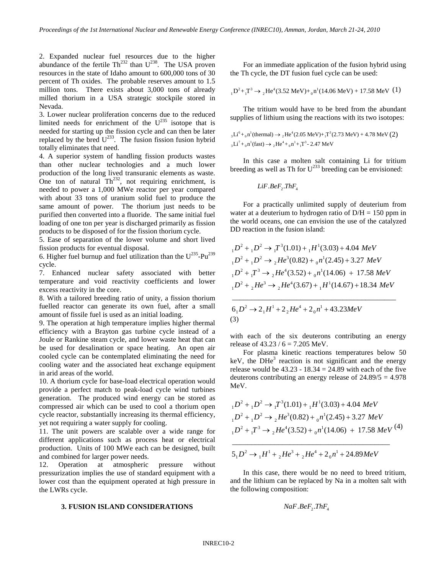2. Expanded nuclear fuel resources due to the higher abundance of the fertile  $Th^{232}$  than  $U^{238}$ . The USA proven resources in the state of Idaho amount to 600,000 tons of 30 percent of Th oxides. The probable reserves amount to 1.5 million tons. There exists about 3,000 tons of already milled thorium in a USA strategic stockpile stored in Nevada.

3. Lower nuclear proliferation concerns due to the reduced limited needs for enrichment of the  $U^{235}$  isotope that is needed for starting up the fission cycle and can then be later replaced by the bred  $U^{233}$ . The fusion fission fusion hybrid totally eliminates that need.

4. A superior system of handling fission products wastes than other nuclear technologies and a much lower production of the long lived transuranic elements as waste. One ton of natural  $Th^{232}$ , not requiring enrichment, is needed to power a 1,000 MWe reactor per year compared with about 33 tons of uranium solid fuel to produce the same amount of power. The thorium just needs to be purified then converted into a fluoride. The same initial fuel loading of one ton per year is discharged primarily as fission products to be disposed of for the fission thorium cycle.

5. Ease of separation of the lower volume and short lived fission products for eventual disposal.

6. Higher fuel burnup and fuel utilization than the  $U^{235}$ -Pu<sup>239</sup> cycle.

7. Enhanced nuclear safety associated with better temperature and void reactivity coefficients and lower excess reactivity in the core.

8. With a tailored breeding ratio of unity, a fission thorium fuelled reactor can generate its own fuel, after a small amount of fissile fuel is used as an initial loading.

9. The operation at high temperature implies higher thermal efficiency with a Brayton gas turbine cycle instead of a Joule or Rankine steam cycle, and lower waste heat that can be used for desalination or space heating. An open air cooled cycle can be contemplated eliminating the need for cooling water and the associated heat exchange equipment in arid areas of the world.

10. A thorium cycle for base-load electrical operation would provide a perfect match to peak-load cycle wind turbines generation. The produced wind energy can be stored as compressed air which can be used to cool a thorium open cycle reactor, substantially increasing its thermal efficiency, yet not requiring a water supply for cooling.

11. The unit powers are scalable over a wide range for different applications such as process heat or electrical production. Units of 100 MWe each can be designed, built and combined for larger power needs.

12. Operation at atmospheric pressure without pressurization implies the use of standard equipment with a lower cost than the equipment operated at high pressure in the LWRs cycle.

#### **3. FUSION ISLAND CONSIDERATIONS**

For an immediate application of the fusion hybrid using the Th cycle, the DT fusion fuel cycle can be used:

$$
_1D^2 + _1T^3 \rightarrow {}_2He^4(3.52 \text{ MeV}) + {}_0n^1(14.06 \text{ MeV}) + 17.58 \text{ MeV} (1)
$$

The tritium would have to be bred from the abundant supplies of lithium using the reactions with its two isotopes:

$$
{}_{3}Li^{6} + {}_{0}n^{1}(\text{thermal}) \rightarrow {}_{2}\text{He}^{4}(2.05 \text{ MeV}) + {}_{1}\text{T}^{3}(2.73 \text{ MeV}) + 4.78 \text{ MeV} (2)
$$
  

$$
{}_{3}\text{Li}^{7} + {}_{0}\text{n}^{1}(\text{fast}) \rightarrow {}_{2}\text{He}^{4} + {}_{0}\text{n}^{1} + {}_{1}\text{T}^{3} - 2.47 \text{ MeV}
$$

In this case a molten salt containing Li for tritium breeding as well as Th for  $U^{233}$  breeding can be envisioned:

$$
LiF.BeF_2.ThF_4
$$

For a practically unlimited supply of deuterium from water at a deuterium to hydrogen ratio of  $D/H = 150$  ppm in the world oceans, one can envision the use of the catalyzed DD reaction in the fusion island:

$$
{}_{1}D^{2} + {}_{1}D^{2} \rightarrow {}_{1}T^{3}(1.01) + {}_{1}H^{1}(3.03) + 4.04 \text{ MeV}
$$
  
\n
$$
{}_{1}D^{2} + {}_{1}D^{2} \rightarrow {}_{2}He^{3}(0.82) + {}_{0}n^{1}(2.45) + 3.27 \text{ MeV}
$$
  
\n
$$
{}_{1}D^{2} + {}_{1}T^{3} \rightarrow {}_{2}He^{4}(3.52) + {}_{0}n^{1}(14.06) + 17.58 \text{ MeV}
$$
  
\n
$$
{}_{1}D^{2} + {}_{2}He^{3} \rightarrow {}_{2}He^{4}(3.67) + {}_{1}H^{1}(14.67) + 18.34 \text{ MeV}
$$

\_\_\_\_\_\_\_\_\_\_\_\_\_\_\_\_\_\_\_\_\_\_\_\_\_\_\_\_\_\_\_\_\_\_\_\_\_\_\_\_\_\_\_

$$
61D2 \rightarrow 21H1 + 22He4 + 20n1 + 43.23MeV
$$
  
(3)

with each of the six deuterons contributing an energy release of  $43.23 / 6 = 7.205$  MeV.

For plasma kinetic reactions temperatures below 50 keV, the  $DHe<sup>3</sup>$  reaction is not significant and the energy release would be  $43.23 - 18.34 = 24.89$  with each of the five deuterons contributing an energy release of 24.89/5 = 4.978 MeV.

$$
{}_{1}D^{2} + {}_{1}D^{2} \rightarrow {}_{1}T^{3}(1.01) + {}_{1}H^{1}(3.03) + 4.04 \text{ MeV}
$$
  
\n
$$
{}_{1}D^{2} + {}_{1}D^{2} \rightarrow {}_{2}He^{3}(0.82) + {}_{0}n^{1}(2.45) + 3.27 \text{ MeV}
$$
  
\n
$$
{}_{1}D^{2} + {}_{1}T^{3} \rightarrow {}_{2}He^{4}(3.52) + {}_{0}n^{1}(14.06) + 17.58 \text{ MeV} (4)
$$

$$
51D2 \rightarrow {}_{1}H1 + {}_{2}He3 + {}_{2}He4 + 20n1 + 24.89MeV
$$

\_\_\_\_\_\_\_\_\_\_\_\_\_\_\_\_\_\_\_\_\_\_\_\_\_\_\_\_\_\_\_\_\_\_\_\_\_\_\_\_\_

In this case, there would be no need to breed tritium, and the lithium can be replaced by Na in a molten salt with the following composition:

$$
NaF.BeF_{2}.ThF_{4}
$$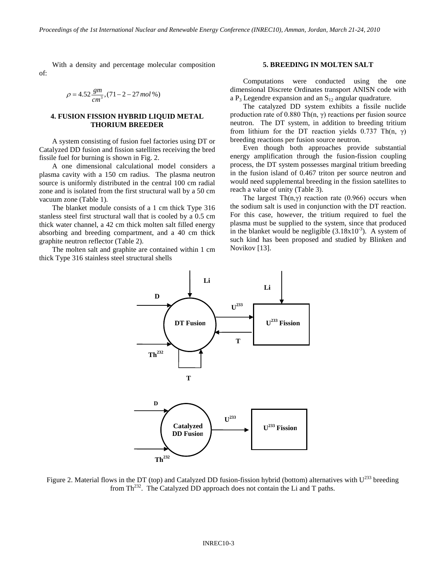With a density and percentage molecular composition of:

$$
\rho = 4.52 \frac{gm}{cm^3}, (71 - 2 - 27 mol\%)
$$

## **4. FUSION FISSION HYBRID LIQUID METAL THORIUM BREEDER**

A system consisting of fusion fuel factories using DT or Catalyzed DD fusion and fission satellites receiving the bred fissile fuel for burning is shown in Fig. 2.

A one dimensional calculational model considers a plasma cavity with a 150 cm radius. The plasma neutron source is uniformly distributed in the central 100 cm radial zone and is isolated from the first structural wall by a 50 cm vacuum zone (Table 1).

The blanket module consists of a 1 cm thick Type 316 stanless steel first structural wall that is cooled by a 0.5 cm thick water channel, a 42 cm thick molten salt filled energy absorbing and breeding compartment, and a 40 cm thick graphite neutron reflector (Table 2).

The molten salt and graphite are contained within 1 cm thick Type 316 stainless steel structural shells

#### **5. BREEDING IN MOLTEN SALT**

Computations were conducted using the one dimensional Discrete Ordinates transport ANISN code with a  $P_3$  Legendre expansion and an  $S_{12}$  angular quadrature.

The catalyzed DD system exhibits a fissile nuclide production rate of 0.880 Th(n,  $\gamma$ ) reactions per fusion source neutron. The DT system, in addition to breeding tritium from lithium for the DT reaction yields 0.737 Th(n,  $\gamma$ ) breeding reactions per fusion source neutron.

Even though both approaches provide substantial energy amplification through the fusion-fission coupling process, the DT system possesses marginal tritium breeding in the fusion island of 0.467 triton per source neutron and would need supplemental breeding in the fission satellites to reach a value of unity (Table 3).

The largest Th $(n, \gamma)$  reaction rate (0.966) occurs when the sodium salt is used in conjunction with the DT reaction. For this case, however, the tritium required to fuel the plasma must be supplied to the system, since that produced in the blanket would be negligible  $(3.18x10^{-3})$ . A system of such kind has been proposed and studied by Blinken and Novikov [13].



Figure 2. Material flows in the DT (top) and Catalyzed DD fusion-fission hybrid (bottom) alternatives with  $U^{233}$  breeding from  $Th<sup>232</sup>$ . The Catalyzed DD approach does not contain the Li and T paths.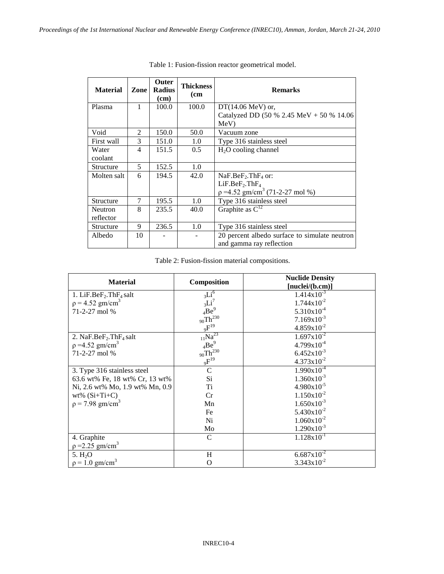| <b>Material</b>               | Zone                    | <b>Outer</b><br><b>Radius</b><br>$(cm)$ | <b>Thickness</b><br>(c <sub>m</sub> ) | <b>Remarks</b>                                |  |
|-------------------------------|-------------------------|-----------------------------------------|---------------------------------------|-----------------------------------------------|--|
| 1<br>100.0<br>Plasma<br>100.0 |                         |                                         | $DT(14.06 \text{ MeV})$ or,           |                                               |  |
|                               |                         |                                         |                                       | Catalyzed DD (50 % 2.45 MeV + 50 % 14.06      |  |
|                               |                         |                                         |                                       | MeV                                           |  |
| Void                          | $\mathfrak{D}$          | 150.0                                   | 50.0                                  | Vacuum zone                                   |  |
| First wall                    | 3                       | 151.0                                   | 1.0                                   | Type 316 stainless steel                      |  |
| Water                         | 4                       | 151.5                                   | 0.5                                   | $H2O$ cooling channel                         |  |
| coolant                       |                         |                                         |                                       |                                               |  |
| Structure                     | $\overline{\mathbf{z}}$ | 152.5                                   | 1.0                                   |                                               |  |
| Molten salt                   | 6                       | 194.5                                   | 42.0                                  | $NaF.BeF2$ .Th $F4$ or:                       |  |
|                               |                         |                                         |                                       | LiF.BeF <sub>2</sub> .ThF <sub>4</sub>        |  |
|                               |                         |                                         |                                       | $p = 4.52$ gm/cm <sup>3</sup> (71-2-27 mol %) |  |
| Structure                     | $\overline{7}$          | 195.5                                   | 1.0                                   | Type 316 stainless steel                      |  |
| <b>Neutron</b>                | 8                       | 235.5                                   | 40.0                                  | Graphite as $C^{12}$                          |  |
| reflector                     |                         |                                         |                                       |                                               |  |
| Structure                     | 9                       | 236.5                                   | 1.0                                   | Type 316 stainless steel                      |  |
| Albedo                        | 10                      |                                         |                                       | 20 percent albedo surface to simulate neutron |  |
|                               |                         |                                         |                                       | and gamma ray reflection                      |  |

Table 1: Fusion-fission reactor geometrical model.

Table 2: Fusion-fission material compositions.

|                                 |                          | <b>Nuclide Density</b>      |  |  |  |
|---------------------------------|--------------------------|-----------------------------|--|--|--|
| <b>Material</b>                 | Composition              | [nuclei/(b.cm)]             |  |  |  |
| 1. LiF.Be $F_2$ .Th $F_4$ salt  | 3Li <sup>6</sup>         | $1.414 \overline{x10^{-3}}$ |  |  |  |
| $p = 4.52$ gm/cm <sup>3</sup>   | $_{3}Li^7$               | $1.744 \times 10^{-2}$      |  |  |  |
| 71-2-27 mol %                   | $4Be^9$                  | $5.310 \times 10^{-4}$      |  |  |  |
|                                 | $_{90}\mathrm{Th}^{230}$ | $7.169x10^{-3}$             |  |  |  |
|                                 | $\mathrm{QF}^{19}$       | $4.859x10^{-2}$             |  |  |  |
| 2. NaF.Be $F_2$ .Th $F_4$ salt  | $_{11}$ Na <sup>23</sup> | $1.697 \times 10^{-2}$      |  |  |  |
| $p = 4.52$ gm/cm <sup>3</sup>   | $_4Be^9$                 | $4.799x10^{-4}$             |  |  |  |
| 71-2-27 mol %                   | $_{90}\mathrm{Th}^{230}$ | $6.452 \times 10^{-3}$      |  |  |  |
|                                 | $_{9}F^{19}$             | $4.373 \times 10^{-2}$      |  |  |  |
| 3. Type 316 stainless steel     | $\mathsf{C}$             | $1.990x10^{-4}$             |  |  |  |
| 63.6 wt% Fe, 18 wt% Cr, 13 wt%  | Si                       | $1.360 \times 10^{-3}$      |  |  |  |
| Ni, 2.6 wt% Mo, 1.9 wt% Mn, 0.9 | Ti                       | $4.980 \times 10^{-5}$      |  |  |  |
| $wt\%$ (Si+Ti+C)                | Cr                       | $1.150x10^{-2}$             |  |  |  |
| $p = 7.98$ gm/cm <sup>3</sup>   | Mn                       | $1.650 \times 10^{-3}$      |  |  |  |
|                                 | Fe                       | $5.430x10^{-2}$             |  |  |  |
|                                 | Ni                       | $1.060 \times 10^{-2}$      |  |  |  |
|                                 | Mo                       | $1.290 \times 10^{-3}$      |  |  |  |
| 4. Graphite                     | $\mathcal{C}$            | $1.128 \times 10^{-1}$      |  |  |  |
| $p = 2.25$ gm/cm <sup>3</sup>   |                          |                             |  |  |  |
| 5. $H_2O$                       | H                        | $6.687 \times 10^{-2}$      |  |  |  |
| $p = 1.0$ gm/cm <sup>3</sup>    | O                        | $3.343 \times 10^{-2}$      |  |  |  |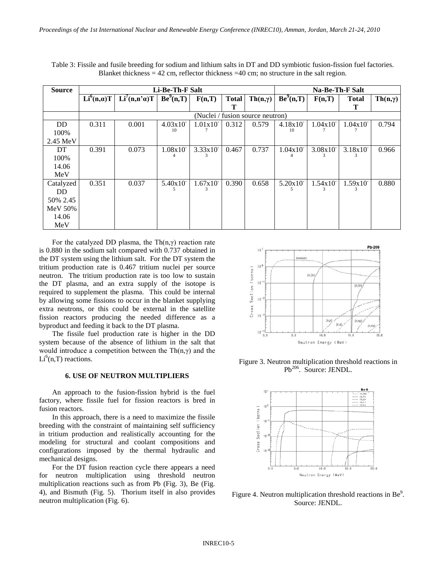| Table 3: Fissile and fusile breeding for sodium and lithium salts in DT and DD symbiotic fusion-fission fuel factories. |
|-------------------------------------------------------------------------------------------------------------------------|
| Blanket thickness = $42 \text{ cm}$ , reflector thickness = $40 \text{ cm}$ ; no structure in the salt region.          |

| <b>Source</b>      | Li-Be-Th-F Salt                  |                             |                               |         |              | Na-Be-Th-F Salt       |               |                        |              |                       |
|--------------------|----------------------------------|-----------------------------|-------------------------------|---------|--------------|-----------------------|---------------|------------------------|--------------|-----------------------|
|                    | Li <sup>6</sup> (n,a)T           | $Li^7(n,n^{\prime}\alpha)T$ | $\overline{\text{Be}}^9(n,T)$ | F(n,T)  | <b>Total</b> | $\text{Th}(n,\gamma)$ | $Be^{9}(n,T)$ | F(n,T)                 | <b>Total</b> | $\text{Th}(n,\gamma)$ |
|                    |                                  |                             |                               |         |              |                       |               |                        |              |                       |
|                    | (Nuclei / fusion source neutron) |                             |                               |         |              |                       |               |                        |              |                       |
| <b>DD</b>          | 0.311                            | 0.001                       | 4.03x10                       | 1.01x10 | 0.312        | 0.579                 | 4.18x10       | $1.04x10^{-}$          | 1.04x10      | 0.794                 |
| 100%               |                                  |                             | 10                            |         |              |                       | 10            |                        |              |                       |
| $2.45 \text{ MeV}$ |                                  |                             |                               |         |              |                       |               |                        |              |                       |
| DT                 | 0.391                            | 0.073                       | 1.08x10                       | 3.33x10 | 0.467        | 0.737                 | 1.04x10       | $3.08x10$ <sup>-</sup> | 3.18x10      | 0.966                 |
| 100%               |                                  |                             |                               |         |              |                       |               |                        |              |                       |
| 14.06              |                                  |                             |                               |         |              |                       |               |                        |              |                       |
| MeV                |                                  |                             |                               |         |              |                       |               |                        |              |                       |
| Catalyzed          | 0.351                            | 0.037                       | 5.40x10                       | 1.67x10 | 0.390        | 0.658                 | 5.20x10       | 1.54x10                | 1.59x10      | 0.880                 |
| DD.                |                                  |                             |                               | 3       |              |                       |               |                        |              |                       |
| 50\% 2.45          |                                  |                             |                               |         |              |                       |               |                        |              |                       |
| <b>MeV 50%</b>     |                                  |                             |                               |         |              |                       |               |                        |              |                       |
| 14.06              |                                  |                             |                               |         |              |                       |               |                        |              |                       |
| MeV                |                                  |                             |                               |         |              |                       |               |                        |              |                       |

For the catalyzed DD plasma, the Th $(n, \gamma)$  reaction rate is 0.880 in the sodium salt compared with 0.737 obtained in the DT system using the lithium salt. For the DT system the tritium production rate is 0.467 tritium nuclei per source neutron. The tritium production rate is too low to sustain the DT plasma, and an extra supply of the isotope is required to supplement the plasma. This could be internal by allowing some fissions to occur in the blanket supplying extra neutrons, or this could be external in the satellite fission reactors producing the needed difference as a byproduct and feeding it back to the DT plasma.

The fissile fuel production rate is higher in the DD system because of the absence of lithium in the salt that would introduce a competition between the  $\text{Th}(n, \gamma)$  and the  $Li<sup>6</sup>(n,T)$  reactions.

## **6. USE OF NEUTRON MULTIPLIERS**

An approach to the fusion-fission hybrid is the fuel factory, where fissile fuel for fission reactors is bred in fusion reactors.

In this approach, there is a need to maximize the fissile breeding with the constraint of maintaining self sufficiency in tritium production and realistically accounting for the modeling for structural and coolant compositions and configurations imposed by the thermal hydraulic and mechanical designs.

For the DT fusion reaction cycle there appears a need for neutron multiplication using threshold neutron multiplication reactions such as from Pb (Fig. 3), Be (Fig. 4), and Bismuth (Fig. 5). Thorium itself in also provides neutron multiplication (Fig. 6).



Figure 3. Neutron multiplication threshold reactions in Pb<sup>206</sup>. Source: JENDL.



Figure 4. Neutron multiplication threshold reactions in Be $\degree$ . Source: JENDL.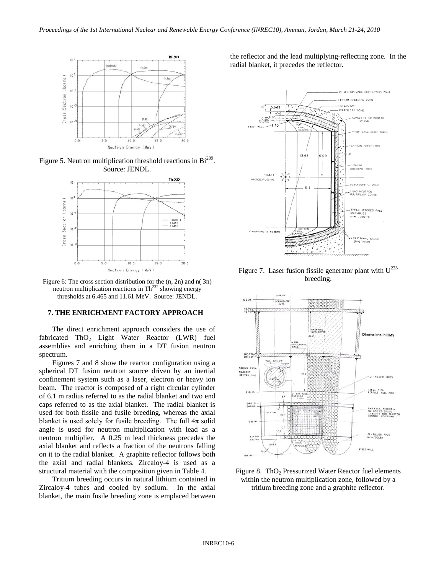

Figure 5. Neutron multiplication threshold reactions in  $Bi^{209}$ . Source: JENDL.



Figure 6: The cross section distribution for the (n, 2n) and n( 3n) neutron multiplication reactions in  $\text{Th}^{232}$  showing energy thresholds at 6.465 and 11.61 MeV. Source: JENDL.

## **7. THE ENRICHMENT FACTORY APPROACH**

The direct enrichment approach considers the use of fabricated ThO<sub>2</sub> Light Water Reactor (LWR) fuel assemblies and enriching them in a DT fusion neutron spectrum.

Figures 7 and 8 show the reactor configuration using a spherical DT fusion neutron source driven by an inertial confinement system such as a laser, electron or heavy ion beam. The reactor is composed of a right circular cylinder of 6.1 m radius referred to as the radial blanket and two end caps referred to as the axial blanket. The radial blanket is used for both fissile and fusile breeding, whereas the axial blanket is used solely for fusile breeding. The full  $4\pi$  solid angle is used for neutron multiplication with lead as a neutron multiplier. A 0.25 m lead thickness precedes the axial blanket and reflects a fraction of the neutrons falling on it to the radial blanket. A graphite reflector follows both the axial and radial blankets. Zircaloy-4 is used as a structural material with the composition given in Table 4.

Tritium breeding occurs in natural lithium contained in Zircaloy-4 tubes and cooled by sodium. In the axial blanket, the main fusile breeding zone is emplaced between

the reflector and the lead multiplying-reflecting zone. In the radial blanket, it precedes the reflector.



Figure 7. Laser fusion fissile generator plant with  $U^{233}$ breeding.



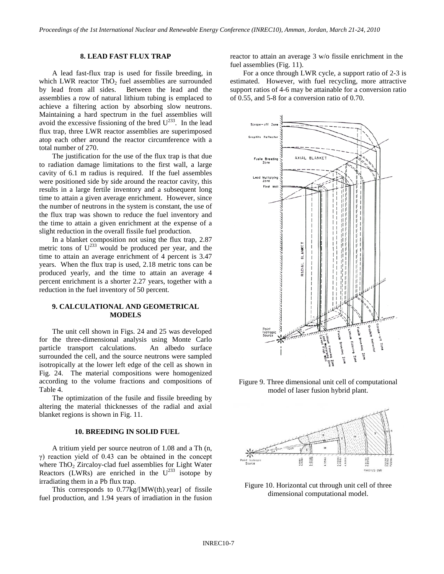## **8. LEAD FAST FLUX TRAP**

A lead fast-flux trap is used for fissile breeding, in which LWR reactor  $ThO<sub>2</sub>$  fuel assemblies are surrounded by lead from all sides. Between the lead and the assemblies a row of natural lithium tubing is emplaced to achieve a filtering action by absorbing slow neutrons. Maintaining a hard spectrum in the fuel assemblies will avoid the excessive fissioning of the bred  $U^{233}$ . In the lead flux trap, three LWR reactor assemblies are superimposed atop each other around the reactor circumference with a total number of 270.

The justification for the use of the flux trap is that due to radiation damage limitations to the first wall, a large cavity of 6.1 m radius is required. If the fuel assembles were positioned side by side around the reactor cavity, this results in a large fertile inventory and a subsequent long time to attain a given average enrichment. However, since the number of neutrons in the system is constant, the use of the flux trap was shown to reduce the fuel inventory and the time to attain a given enrichment at the expense of a slight reduction in the overall fissile fuel production.

In a blanket composition not using the flux trap, 2.87 metric tons of  $U^{233}$  would be produced per year, and the time to attain an average enrichment of 4 percent is 3.47 years. When the flux trap is used, 2.18 metric tons can be produced yearly, and the time to attain an average 4 percent enrichment is a shorter 2.27 years, together with a reduction in the fuel inventory of 50 percent.

## **9. CALCULATIONAL AND GEOMETRICAL MODELS**

The unit cell shown in Figs. 24 and 25 was developed for the three-dimensional analysis using Monte Carlo particle transport calculations. An albedo surface surrounded the cell, and the source neutrons were sampled isotropically at the lower left edge of the cell as shown in Fig. 24. The material compositions were homogenized according to the volume fractions and compositions of Table 4.

The optimization of the fusile and fissile breeding by altering the material thicknesses of the radial and axial blanket regions is shown in Fig. 11.

## **10. BREEDING IN SOLID FUEL**

A tritium yield per source neutron of 1.08 and a Th (n, γ) reaction yield of 0.43 can be obtained in the concept where  $ThO<sub>2</sub> Zircaloy-clad$  fuel assemblies for Light Water Reactors (LWRs) are enriched in the  $U^{233}$  isotope by irradiating them in a Pb flux trap.

This corresponds to  $0.77 \text{kg} / [\text{MW}(\text{th}) \cdot \text{year}]$  of fissile fuel production, and 1.94 years of irradiation in the fusion reactor to attain an average 3 w/o fissile enrichment in the fuel assemblies (Fig. 11).

For a once through LWR cycle, a support ratio of 2-3 is estimated. However, with fuel recycling, more attractive support ratios of 4-6 may be attainable for a conversion ratio of 0.55, and 5-8 for a conversion ratio of 0.70.



Figure 9. Three dimensional unit cell of computational model of laser fusion hybrid plant.



Figure 10. Horizontal cut through unit cell of three dimensional computational model.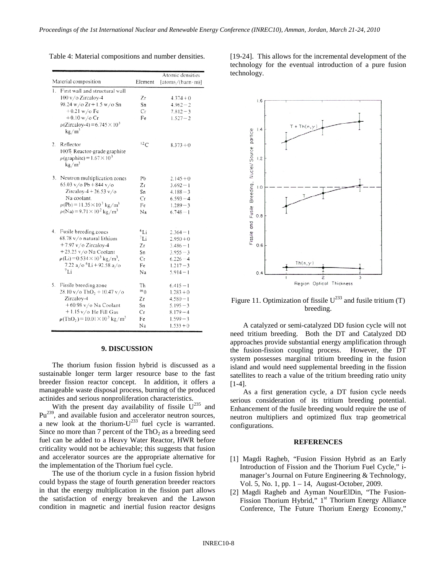|    |                                                                           |         | Atomic densities         |  |  |  |
|----|---------------------------------------------------------------------------|---------|--------------------------|--|--|--|
|    | Material composition                                                      | Element | $[atoms/(barn \cdot m)]$ |  |  |  |
| 1. | First wall and structural wall                                            |         |                          |  |  |  |
|    | 100 v/o Zircaloy-4                                                        | Zτ      | $4.374 + 0$              |  |  |  |
|    | 98.24 w/o $Zr + 1.5$ w/o Sn                                               | Sn      | $4.962 - 2$              |  |  |  |
|    | $+0.21$ w/o Fe                                                            | Сr      | $7.812 - 3$              |  |  |  |
|    | $+0.10 w/o Cr$                                                            | Fe      | $1.527 - 2$              |  |  |  |
|    | $\rho$ (Zircaloy-4) = 6.745 $\times$ 10 <sup>3</sup><br>$k \frac{g}{m^3}$ |         |                          |  |  |  |
|    | 2. Reflector                                                              | 12C     | $8.373 + 0$              |  |  |  |
|    | 100% Reactor-grade graphite                                               |         |                          |  |  |  |
|    | $\rho$ (graphite) = 1.67 × 10 <sup>3</sup>                                |         |                          |  |  |  |
|    | kg/m <sup>3</sup>                                                         |         |                          |  |  |  |
|    | 3. Neutron multiplication zones                                           | Pb      | $2.145 + 0$              |  |  |  |
|    | 65.03 v/o Pb + 844 v/o                                                    | Zτ      | $3.692 - 1$              |  |  |  |
|    | Zircaloy-4 + 26.53 $v/o$                                                  | Sn      | $4.188 - 3$              |  |  |  |
|    | Na coolant.                                                               | Cr      | $6.593 - 4$              |  |  |  |
|    | $\rho$ (Pb) = 11.35 × 10 <sup>3</sup> kg/m <sup>3</sup>                   | Fe      | $1.289 - 3$              |  |  |  |
|    | $\rho$ (Na) = 9.71 × 10 <sup>2</sup> kg/m <sup>3</sup>                    | Na      | $6.748 - 1$              |  |  |  |
|    | 4. Fusile breeding zones                                                  | $^6Li$  | $2.364 - 1$              |  |  |  |
|    | 68.78 v/o natural lithium                                                 | 7Li     | $2.950 + 0$              |  |  |  |
|    | $+7.97$ v/o Zircalov-4                                                    | Zr      | $3.486 - 1$              |  |  |  |
|    | $+23.25$ v/o Na Coolant                                                   | Sn      | $3.955 - 3$              |  |  |  |
|    | $\rho$ (Li) = 0.534 × 10 <sup>3</sup> kg/m <sup>3</sup> ,                 | Сr      | $6.226 - 4$              |  |  |  |
|    | 7.22 a/o <sup>6</sup> Li + 92.58 a/o                                      | Fe      | $1.217 - 3$              |  |  |  |
|    | $^7$ Li                                                                   | Na      | $5.914 - 1$              |  |  |  |
|    |                                                                           |         |                          |  |  |  |
|    | 5. Fissile breeding zone                                                  | Th      | $6.415 - 1$              |  |  |  |
|    | 28.10 v/o ThO <sub>2</sub> + 10.47 v/o                                    | 160     | $1.283 + 0$              |  |  |  |
|    | Zircaloy-4                                                                | Ζr      | $4.580 - 1$              |  |  |  |
|    | $+60.98$ v/o Na Coolant                                                   | Sn      | $5.195 - 3$              |  |  |  |
|    | $+1.15$ v/o He Fill Gas                                                   | Сr      | $8.179 - 4$              |  |  |  |
|    | $\rho(\text{ThO}_2) = 10.01 \times 10^3 \text{ kg/m}^3$                   | Fe      | $1.599 - 3$              |  |  |  |
|    |                                                                           | Na      | $1.533 + 0$              |  |  |  |

Table 4: Material compositions and number densities.

**9. DISCUSSION**

The thorium fusion fission hybrid is discussed as a sustainable longer term larger resource base to the fast breeder fission reactor concept. In addition, it offers a manageable waste disposal process, burning of the produced actinides and serious nonproliferation characteristics.

With the present day availability of fissile  $U^{235}$  and Pu<sup>239</sup>, and available fusion and accelerator neutron sources, a new look at the thorium- $U^{233}$  fuel cycle is warranted. Since no more than 7 percent of the  $ThO<sub>2</sub>$  as a breeding seed fuel can be added to a Heavy Water Reactor, HWR before criticality would not be achievable; this suggests that fusion and accelerator sources are the appropriate alternative for the implementation of the Thorium fuel cycle.

The use of the thorium cycle in a fusion fission hybrid could bypass the stage of fourth generation breeder reactors in that the energy multiplication in the fission part allows the satisfaction of energy breakeven and the Lawson condition in magnetic and inertial fusion reactor designs

[19-24]. This allows for the incremental development of the technology for the eventual introduction of a pure fusion technology.



Figure 11. Optimization of fissile  $U^{233}$  and fusile tritium (T) breeding.

A catalyzed or semi-catalyzed DD fusion cycle will not need tritium breeding. Both the DT and Catalyzed DD approaches provide substantial energy amplification through the fusion-fission coupling process. However, the DT system possesses marginal tritium breeding in the fusion island and would need supplemental breeding in the fission satellites to reach a value of the tritium breeding ratio unity [1-4].

As a first generation cycle, a DT fusion cycle needs serious consideration of its tritium breeding potential. Enhancement of the fusile breeding would require the use of neutron multipliers and optimized flux trap geometrical configurations.

## **REFERENCES**

- [1] Magdi Ragheb, "Fusion Fission Hybrid as an Early Introduction of Fission and the Thorium Fuel Cycle," imanager's Journal on Future Engineering & Technology, Vol. 5, No. 1, pp. 1 – 14, August-October, 2009.
- [2] Magdi Ragheb and Ayman NourElDin, "The Fusion-Fission Thorium Hybrid," 1<sup>st</sup> Thorium Energy Alliance Conference, The Future Thorium Energy Economy,"